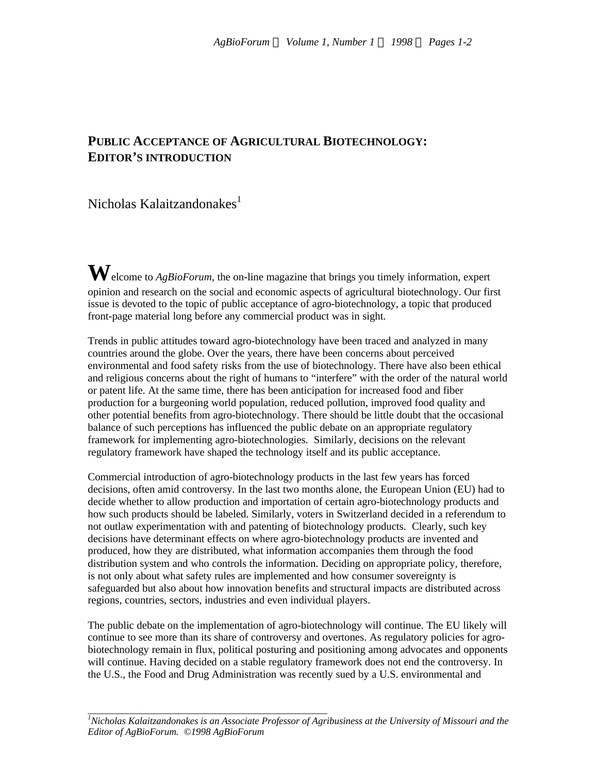## **PUBLIC ACCEPTANCE OF AGRICULTURAL BIOTECHNOLOGY: EDITOR'S INTRODUCTION**

## Nicholas Kalaitzandonakes<sup>1</sup>

**W**elcome to *AgBioForum*, the on-line magazine that brings you timely information, expert opinion and research on the social and economic aspects of agricultural biotechnology. Our first issue is devoted to the topic of public acceptance of agro-biotechnology, a topic that produced front-page material long before any commercial product was in sight.

Trends in public attitudes toward agro-biotechnology have been traced and analyzed in many countries around the globe. Over the years, there have been concerns about perceived environmental and food safety risks from the use of biotechnology. There have also been ethical and religious concerns about the right of humans to "interfere" with the order of the natural world or patent life. At the same time, there has been anticipation for increased food and fiber production for a burgeoning world population, reduced pollution, improved food quality and other potential benefits from agro-biotechnology. There should be little doubt that the occasional balance of such perceptions has influenced the public debate on an appropriate regulatory framework for implementing agro-biotechnologies. Similarly, decisions on the relevant regulatory framework have shaped the technology itself and its public acceptance.

Commercial introduction of agro-biotechnology products in the last few years has forced decisions, often amid controversy. In the last two months alone, the European Union (EU) had to decide whether to allow production and importation of certain agro-biotechnology products and how such products should be labeled. Similarly, voters in Switzerland decided in a referendum to not outlaw experimentation with and patenting of biotechnology products. Clearly, such key decisions have determinant effects on where agro-biotechnology products are invented and produced, how they are distributed, what information accompanies them through the food distribution system and who controls the information. Deciding on appropriate policy, therefore, is not only about what safety rules are implemented and how consumer sovereignty is safeguarded but also about how innovation benefits and structural impacts are distributed across regions, countries, sectors, industries and even individual players.

The public debate on the implementation of agro-biotechnology will continue. The EU likely will continue to see more than its share of controversy and overtones. As regulatory policies for agrobiotechnology remain in flux, political posturing and positioning among advocates and opponents will continue. Having decided on a stable regulatory framework does not end the controversy. In the U.S., the Food and Drug Administration was recently sued by a U.S. environmental and